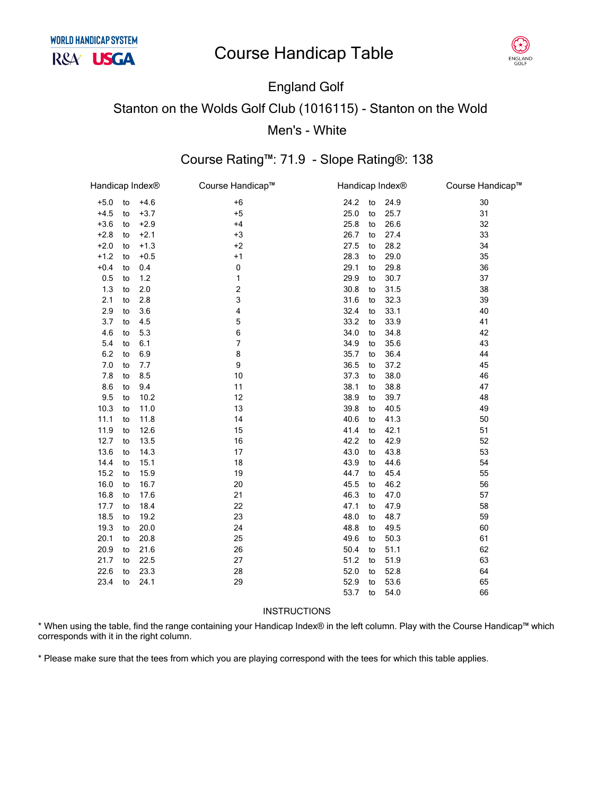

## **England Golf Stanton on the Wolds Golf Club (1016115) - Stanton on the Wold** Men's - White

### Course Rating™: 71.9 - Slope Rating®: 138

| Handicap Index <sup>®</sup> |    |        | Course Handicap™        | Handicap Index® |    |      | Course Handicap™ |
|-----------------------------|----|--------|-------------------------|-----------------|----|------|------------------|
| $+5.0$                      | to | $+4.6$ | $+6$                    | 24.2            | to | 24.9 | 30               |
| $+4.5$                      | to | $+3.7$ | $+5$                    | 25.0            | to | 25.7 | 31               |
| $+3.6$                      | to | $+2.9$ | $+4$                    | 25.8            | to | 26.6 | 32               |
| $+2.8$                      | to | $+2.1$ | $+3$                    | 26.7            | to | 27.4 | 33               |
| $+2.0$                      | to | $+1.3$ | $+2$                    | 27.5            | to | 28.2 | 34               |
| $+1.2$                      | to | $+0.5$ | $+1$                    | 28.3            | to | 29.0 | 35               |
| $+0.4$                      | to | 0.4    | $\pmb{0}$               | 29.1            | to | 29.8 | 36               |
| 0.5                         | to | 1.2    | 1                       | 29.9            | to | 30.7 | 37               |
| 1.3                         | to | 2.0    | $\overline{\mathbf{c}}$ | 30.8            | to | 31.5 | 38               |
| 2.1                         | to | 2.8    | 3                       | 31.6            | to | 32.3 | 39               |
| 2.9                         | to | 3.6    | 4                       | 32.4            | to | 33.1 | 40               |
| 3.7                         | to | 4.5    | 5                       | 33.2            | to | 33.9 | 41               |
| 4.6                         | to | 5.3    | 6                       | 34.0            | to | 34.8 | 42               |
| 5.4                         | to | 6.1    | 7                       | 34.9            | to | 35.6 | 43               |
| 6.2                         | to | 6.9    | 8                       | 35.7            | to | 36.4 | 44               |
| 7.0                         | to | 7.7    | 9                       | 36.5            | to | 37.2 | 45               |
| 7.8                         | to | 8.5    | 10                      | 37.3            | to | 38.0 | 46               |
| 8.6                         | to | 9.4    | 11                      | 38.1            | to | 38.8 | 47               |
| 9.5                         | to | 10.2   | 12                      | 38.9            | to | 39.7 | 48               |
| 10.3                        | to | 11.0   | 13                      | 39.8            | to | 40.5 | 49               |
| 11.1                        | to | 11.8   | 14                      | 40.6            | to | 41.3 | 50               |
| 11.9                        | to | 12.6   | 15                      | 41.4            | to | 42.1 | 51               |
| 12.7                        | to | 13.5   | 16                      | 42.2            | to | 42.9 | 52               |
| 13.6                        | to | 14.3   | 17                      | 43.0            | to | 43.8 | 53               |
| 14.4                        | to | 15.1   | 18                      | 43.9            | to | 44.6 | 54               |
| 15.2                        | to | 15.9   | 19                      | 44.7            | to | 45.4 | 55               |
| 16.0                        | to | 16.7   | 20                      | 45.5            | to | 46.2 | 56               |
| 16.8                        | to | 17.6   | 21                      | 46.3            | to | 47.0 | 57               |
| 17.7                        | to | 18.4   | 22                      | 47.1            | to | 47.9 | 58               |
| 18.5                        | to | 19.2   | 23                      | 48.0            | to | 48.7 | 59               |
| 19.3                        | to | 20.0   | 24                      | 48.8            | to | 49.5 | 60               |
| 20.1                        | to | 20.8   | 25                      | 49.6            | to | 50.3 | 61               |
| 20.9                        | to | 21.6   | 26                      | 50.4            | to | 51.1 | 62               |
| 21.7                        | to | 22.5   | 27                      | 51.2            | to | 51.9 | 63               |
| 22.6                        | to | 23.3   | 28                      | 52.0            | to | 52.8 | 64               |
| 23.4                        | to | 24.1   | 29                      | 52.9            | to | 53.6 | 65               |
|                             |    |        |                         | 53.7            | to | 54.0 | 66               |

#### **INSTRUCTIONS**

\* When using the table, find the range containing your Handicap Index® in the left column. Play with the Course Handicap™ which corresponds with it in the right column.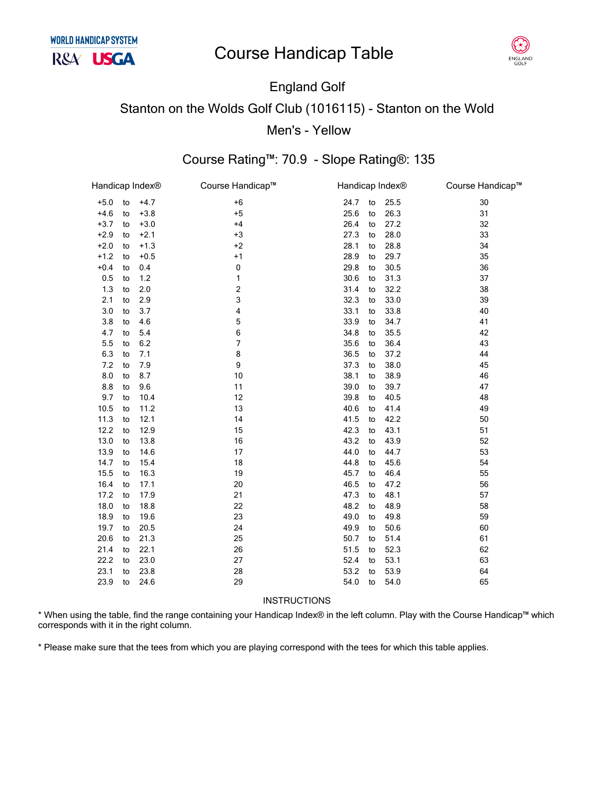

## England Golf Stanton on the Wolds Golf Club (1016115) - Stanton on the Wold Men's - Yellow

#### Course Rating™: 70.9 - Slope Rating®: 135

| Handicap Index® |    |        | Course Handicap™        |      |    | Handicap Index® | Course Handicap™ |
|-----------------|----|--------|-------------------------|------|----|-----------------|------------------|
| $+5.0$          | to | $+4.7$ | $+6$                    | 24.7 | to | 25.5            | 30               |
| $+4.6$          | to | $+3.8$ | $+5$                    | 25.6 | to | 26.3            | 31               |
| $+3.7$          | to | $+3.0$ | $+4$                    | 26.4 | to | 27.2            | 32               |
| $+2.9$          | to | $+2.1$ | $+3$                    | 27.3 | to | 28.0            | 33               |
| $+2.0$          | to | $+1.3$ | $+2$                    | 28.1 | to | 28.8            | 34               |
| $+1.2$          | to | $+0.5$ | $+1$                    | 28.9 | to | 29.7            | 35               |
| $+0.4$          | to | 0.4    | 0                       | 29.8 | to | 30.5            | 36               |
| 0.5             | to | 1.2    | 1                       | 30.6 | to | 31.3            | 37               |
| 1.3             | to | 2.0    | $\overline{\mathbf{c}}$ | 31.4 | to | 32.2            | 38               |
| 2.1             | to | 2.9    | 3                       | 32.3 | to | 33.0            | 39               |
| 3.0             | to | 3.7    | 4                       | 33.1 | to | 33.8            | 40               |
| 3.8             | to | 4.6    | 5                       | 33.9 | to | 34.7            | 41               |
| 4.7             | to | 5.4    | 6                       | 34.8 | to | 35.5            | 42               |
| 5.5             | to | 6.2    | 7                       | 35.6 | to | 36.4            | 43               |
| 6.3             | to | 7.1    | 8                       | 36.5 | to | 37.2            | 44               |
| 7.2             | to | 7.9    | 9                       | 37.3 | to | 38.0            | 45               |
| 8.0             | to | 8.7    | 10                      | 38.1 | to | 38.9            | 46               |
| 8.8             | to | 9.6    | 11                      | 39.0 | to | 39.7            | 47               |
| 9.7             | to | 10.4   | 12                      | 39.8 | to | 40.5            | 48               |
| 10.5            | to | 11.2   | 13                      | 40.6 | to | 41.4            | 49               |
| 11.3            | to | 12.1   | 14                      | 41.5 | to | 42.2            | 50               |
| 12.2            | to | 12.9   | 15                      | 42.3 | to | 43.1            | 51               |
| 13.0            | to | 13.8   | 16                      | 43.2 | to | 43.9            | 52               |
| 13.9            | to | 14.6   | 17                      | 44.0 | to | 44.7            | 53               |
| 14.7            | to | 15.4   | 18                      | 44.8 | to | 45.6            | 54               |
| 15.5            | to | 16.3   | 19                      | 45.7 | to | 46.4            | 55               |
| 16.4            | to | 17.1   | 20                      | 46.5 | to | 47.2            | 56               |
| 17.2            | to | 17.9   | 21                      | 47.3 | to | 48.1            | 57               |
| 18.0            | to | 18.8   | 22                      | 48.2 | to | 48.9            | 58               |
| 18.9            | to | 19.6   | 23                      | 49.0 | to | 49.8            | 59               |
| 19.7            | to | 20.5   | 24                      | 49.9 | to | 50.6            | 60               |
| 20.6            | to | 21.3   | 25                      | 50.7 | to | 51.4            | 61               |
| 21.4            | to | 22.1   | 26                      | 51.5 | to | 52.3            | 62               |
| 22.2            | to | 23.0   | 27                      | 52.4 | to | 53.1            | 63               |
| 23.1            | to | 23.8   | 28                      | 53.2 | to | 53.9            | 64               |
| 23.9            | to | 24.6   | 29                      | 54.0 | to | 54.0            | 65               |
|                 |    |        |                         |      |    |                 |                  |

#### INSTRUCTIONS

\* When using the table, find the range containing your Handicap Index® in the left column. Play with the Course Handicap™ which corresponds with it in the right column.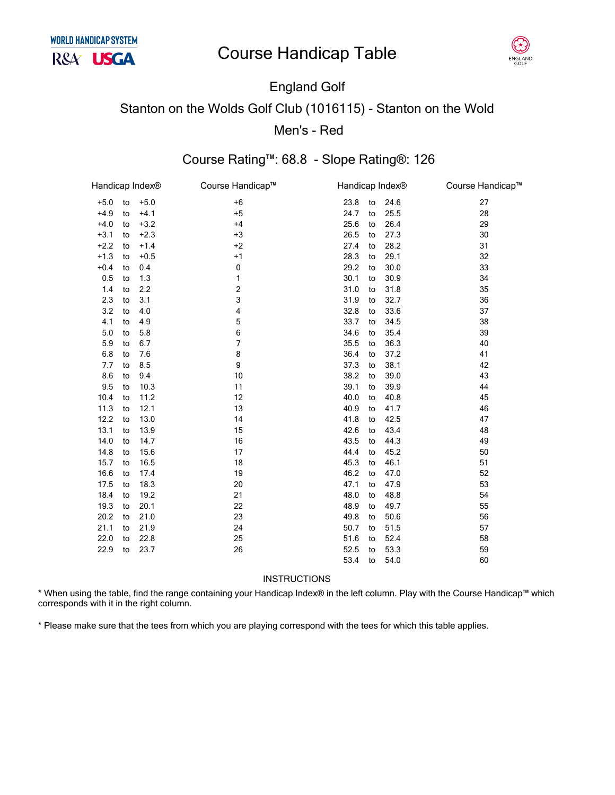

### England Golf Stanton on the Wolds Golf Club (1016115) - Stanton on the Wold Men's - Red

### Course Rating™: 68.8 - Slope Rating®: 126

| Handicap Index® |    |        | Course Handicap™ | Handicap Index® |    |      | Course Handicap™ |
|-----------------|----|--------|------------------|-----------------|----|------|------------------|
| $+5.0$          | to | $+5.0$ | $+6$             | 23.8            | to | 24.6 | 27               |
| $+4.9$          | to | $+4.1$ | $+5$             | 24.7            | to | 25.5 | 28               |
| $+4.0$          | to | $+3.2$ | $+4$             | 25.6            | to | 26.4 | 29               |
| $+3.1$          | to | $+2.3$ | $+3$             | 26.5            | to | 27.3 | 30               |
| $+2.2$          | to | $+1.4$ | $+2$             | 27.4            | to | 28.2 | 31               |
| $+1.3$          | to | $+0.5$ | $+1$             | 28.3            | to | 29.1 | 32               |
| $+0.4$          | to | 0.4    | 0                | 29.2            | to | 30.0 | 33               |
| 0.5             | to | 1.3    | 1                | 30.1            | to | 30.9 | 34               |
| 1.4             | to | 2.2    | 2                | 31.0            | to | 31.8 | 35               |
| 2.3             | to | 3.1    | 3                | 31.9            | to | 32.7 | 36               |
| 3.2             | to | 4.0    | 4                | 32.8            | to | 33.6 | 37               |
| 4.1             | to | 4.9    | 5                | 33.7            | to | 34.5 | 38               |
| 5.0             | to | 5.8    | 6                | 34.6            | to | 35.4 | 39               |
| 5.9             | to | 6.7    | $\overline{7}$   | 35.5            | to | 36.3 | 40               |
| 6.8             | to | 7.6    | 8                | 36.4            | to | 37.2 | 41               |
| 7.7             | to | 8.5    | 9                | 37.3            | to | 38.1 | 42               |
| 8.6             | to | 9.4    | 10               | 38.2            | to | 39.0 | 43               |
| 9.5             | to | 10.3   | 11               | 39.1            | to | 39.9 | 44               |
| 10.4            | to | 11.2   | 12               | 40.0            | to | 40.8 | 45               |
| 11.3            | to | 12.1   | 13               | 40.9            | to | 41.7 | 46               |
| 12.2            | to | 13.0   | 14               | 41.8            | to | 42.5 | 47               |
| 13.1            | to | 13.9   | 15               | 42.6            | to | 43.4 | 48               |
| 14.0            | to | 14.7   | 16               | 43.5            | to | 44.3 | 49               |
| 14.8            | to | 15.6   | 17               | 44.4            | to | 45.2 | 50               |
| 15.7            | to | 16.5   | 18               | 45.3            | to | 46.1 | 51               |
| 16.6            | to | 17.4   | 19               | 46.2            | to | 47.0 | 52               |
| 17.5            | to | 18.3   | 20               | 47.1            | to | 47.9 | 53               |
| 18.4            | to | 19.2   | 21               | 48.0            | to | 48.8 | 54               |
| 19.3            | to | 20.1   | 22               | 48.9            | to | 49.7 | 55               |
| 20.2            | to | 21.0   | 23               | 49.8            | to | 50.6 | 56               |
| 21.1            | to | 21.9   | 24               | 50.7            | to | 51.5 | 57               |
| 22.0            | to | 22.8   | 25               | 51.6            | to | 52.4 | 58               |
| 22.9            | to | 23.7   | 26               | 52.5            | to | 53.3 | 59               |
|                 |    |        |                  | 53.4            | to | 54.0 | 60               |
|                 |    |        |                  |                 |    |      |                  |

**INSTRUCTIONS** 

\* When using the table, find the range containing your Handicap Index® in the left column. Play with the Course Handicap™ which corresponds with it in the right column.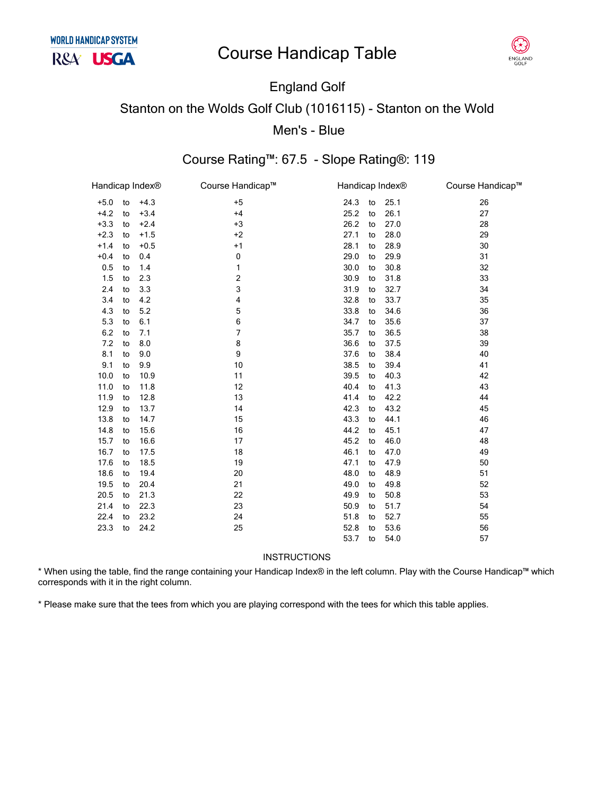

### England Golf Stanton on the Wolds Golf Club (1016115) - Stanton on the Wold Men's - Blue

#### Course Rating™: 67.5 - Slope Rating®: 119

| Handicap Index® |    |        | Course Handicap™ | Handicap Index® |      | Course Handicap™ |
|-----------------|----|--------|------------------|-----------------|------|------------------|
| $+5.0$          | to | $+4.3$ | $+5$             | 24.3<br>to      | 25.1 | 26               |
| $+4.2$          | to | $+3.4$ | $+4$             | 25.2<br>to      | 26.1 | 27               |
| $+3.3$          | to | $+2.4$ | $+3$             | 26.2<br>to      | 27.0 | 28               |
| $+2.3$          | to | $+1.5$ | $+2$             | 27.1<br>to      | 28.0 | 29               |
| $+1.4$          | to | $+0.5$ | $+1$             | 28.1<br>to      | 28.9 | 30               |
| $+0.4$          | to | 0.4    | 0                | 29.0<br>to      | 29.9 | 31               |
| 0.5             | to | 1.4    | 1                | 30.0<br>to      | 30.8 | 32               |
| 1.5             | to | 2.3    | 2                | 30.9<br>to      | 31.8 | 33               |
| 2.4             | to | 3.3    | 3                | 31.9<br>to      | 32.7 | 34               |
| 3.4             | to | 4.2    | 4                | 32.8<br>to      | 33.7 | 35               |
| 4.3             | to | 5.2    | 5                | 33.8<br>to      | 34.6 | 36               |
| 5.3             | to | 6.1    | 6                | 34.7<br>to      | 35.6 | 37               |
| $6.2\,$         | to | 7.1    | 7                | 35.7<br>to      | 36.5 | 38               |
| 7.2             | to | 8.0    | 8                | 36.6<br>to      | 37.5 | 39               |
| 8.1             | to | 9.0    | 9                | 37.6<br>to      | 38.4 | 40               |
| 9.1             | to | 9.9    | 10               | 38.5<br>to      | 39.4 | 41               |
| 10.0            | to | 10.9   | 11               | 39.5<br>to      | 40.3 | 42               |
| 11.0            | to | 11.8   | 12               | 40.4<br>to      | 41.3 | 43               |
| 11.9            | to | 12.8   | 13               | 41.4<br>to      | 42.2 | 44               |
| 12.9            | to | 13.7   | 14               | 42.3<br>to      | 43.2 | 45               |
| 13.8            | to | 14.7   | 15               | 43.3<br>to      | 44.1 | 46               |
| 14.8            | to | 15.6   | 16               | 44.2<br>to      | 45.1 | 47               |
| 15.7            | to | 16.6   | 17               | 45.2<br>to      | 46.0 | 48               |
| 16.7            | to | 17.5   | 18               | 46.1<br>to      | 47.0 | 49               |
| 17.6            | to | 18.5   | 19               | 47.1<br>to      | 47.9 | 50               |
| 18.6            | to | 19.4   | 20               | 48.0<br>to      | 48.9 | 51               |
| 19.5            | to | 20.4   | 21               | 49.0<br>to      | 49.8 | 52               |
| 20.5            | to | 21.3   | 22               | 49.9<br>to      | 50.8 | 53               |
| 21.4            | to | 22.3   | 23               | 50.9<br>to      | 51.7 | 54               |
| 22.4            | to | 23.2   | 24               | 51.8<br>to      | 52.7 | 55               |
| 23.3            | to | 24.2   | 25               | 52.8<br>to      | 53.6 | 56               |
|                 |    |        |                  | 53.7<br>to      | 54.0 | 57               |

**INSTRUCTIONS** 

\* When using the table, find the range containing your Handicap Index® in the left column. Play with the Course Handicap™ which corresponds with it in the right column.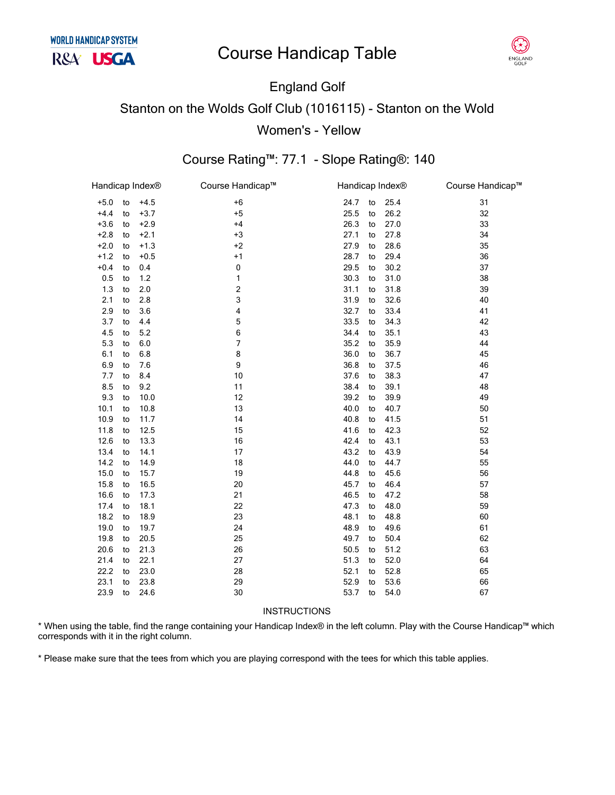

## England Golf Stanton on the Wolds Golf Club (1016115) - Stanton on the Wold Women's - Yellow

#### Course Rating™: 77.1 - Slope Rating®: 140

| Handicap Index® |    |        | Course Handicap™ |      |    | Handicap Index® | Course Handicap™ |
|-----------------|----|--------|------------------|------|----|-----------------|------------------|
| $+5.0$          | to | $+4.5$ | $+6$             | 24.7 | to | 25.4            | 31               |
| $+4.4$          | to | $+3.7$ | $+5$             | 25.5 | to | 26.2            | 32               |
| $+3.6$          | to | $+2.9$ | $+4$             | 26.3 | to | 27.0            | 33               |
| $+2.8$          | to | $+2.1$ | $+3$             | 27.1 | to | 27.8            | 34               |
| $+2.0$          | to | $+1.3$ | $+2$             | 27.9 | to | 28.6            | 35               |
| $+1.2$          | to | $+0.5$ | $+1$             | 28.7 | to | 29.4            | 36               |
| $+0.4$          | to | 0.4    | $\pmb{0}$        | 29.5 | to | 30.2            | 37               |
| 0.5             | to | 1.2    | 1                | 30.3 | to | 31.0            | 38               |
| 1.3             | to | 2.0    | $\mathbf 2$      | 31.1 | to | 31.8            | 39               |
| 2.1             | to | 2.8    | 3                | 31.9 | to | 32.6            | 40               |
| 2.9             | to | 3.6    | 4                | 32.7 | to | 33.4            | 41               |
| 3.7             | to | 4.4    | 5                | 33.5 | to | 34.3            | 42               |
| 4.5             | to | 5.2    | 6                | 34.4 | to | 35.1            | 43               |
| 5.3             | to | 6.0    | 7                | 35.2 | to | 35.9            | 44               |
| 6.1             | to | 6.8    | 8                | 36.0 | to | 36.7            | 45               |
| 6.9             | to | 7.6    | 9                | 36.8 | to | 37.5            | 46               |
| 7.7             | to | 8.4    | 10               | 37.6 | to | 38.3            | 47               |
| 8.5             | to | 9.2    | 11               | 38.4 | to | 39.1            | 48               |
| 9.3             | to | 10.0   | 12               | 39.2 | to | 39.9            | 49               |
| 10.1            | to | 10.8   | 13               | 40.0 | to | 40.7            | 50               |
| 10.9            | to | 11.7   | 14               | 40.8 | to | 41.5            | 51               |
| 11.8            | to | 12.5   | 15               | 41.6 | to | 42.3            | 52               |
| 12.6            | to | 13.3   | 16               | 42.4 | to | 43.1            | 53               |
| 13.4            | to | 14.1   | 17               | 43.2 | to | 43.9            | 54               |
| 14.2            | to | 14.9   | 18               | 44.0 | to | 44.7            | 55               |
| 15.0            | to | 15.7   | 19               | 44.8 | to | 45.6            | 56               |
| 15.8            | to | 16.5   | 20               | 45.7 | to | 46.4            | 57               |
| 16.6            | to | 17.3   | 21               | 46.5 | to | 47.2            | 58               |
| 17.4            | to | 18.1   | 22               | 47.3 | to | 48.0            | 59               |
| 18.2            | to | 18.9   | 23               | 48.1 | to | 48.8            | 60               |
| 19.0            | to | 19.7   | 24               | 48.9 | to | 49.6            | 61               |
| 19.8            | to | 20.5   | 25               | 49.7 | to | 50.4            | 62               |
| 20.6            | to | 21.3   | 26               | 50.5 | to | 51.2            | 63               |
| 21.4            | to | 22.1   | 27               | 51.3 | to | 52.0            | 64               |
| 22.2            | to | 23.0   | 28               | 52.1 | to | 52.8            | 65               |
| 23.1            | to | 23.8   | 29               | 52.9 | to | 53.6            | 66               |
| 23.9            | to | 24.6   | 30               | 53.7 | to | 54.0            | 67               |
|                 |    |        |                  |      |    |                 |                  |

#### **INSTRUCTIONS**

\* When using the table, find the range containing your Handicap Index® in the left column. Play with the Course Handicap™ which corresponds with it in the right column.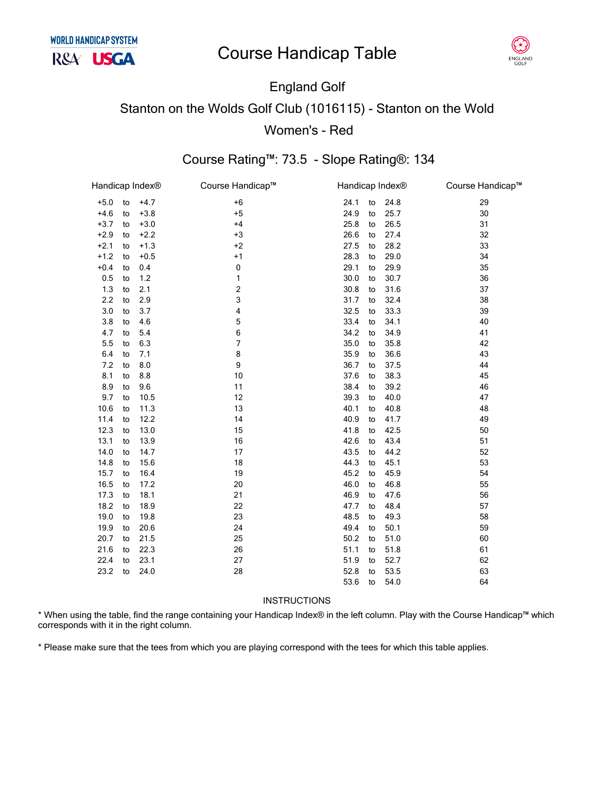

# England Golf Stanton on the Wolds Golf Club (1016115) - Stanton on the Wold Women's - Red

### Course Rating™: 73.5 - Slope Rating®: 134

| Handicap Index® |    |        | Course Handicap™ | Handicap Index <sup>®</sup> |    |      | Course Handicap™ |
|-----------------|----|--------|------------------|-----------------------------|----|------|------------------|
| $+5.0$          | to | $+4.7$ | $+6$             | 24.1                        | to | 24.8 | 29               |
| $+4.6$          | to | $+3.8$ | $+5$             | 24.9                        | to | 25.7 | 30               |
| $+3.7$          | to | $+3.0$ | $+4$             | 25.8                        | to | 26.5 | 31               |
| $+2.9$          | to | $+2.2$ | $+3$             | 26.6                        | to | 27.4 | 32               |
| $+2.1$          | to | $+1.3$ | $+2$             | 27.5                        | to | 28.2 | 33               |
| $+1.2$          | to | $+0.5$ | $+1$             | 28.3                        | to | 29.0 | 34               |
| $+0.4$          | to | 0.4    | 0                | 29.1                        | to | 29.9 | 35               |
| 0.5             | to | 1.2    | 1                | 30.0                        | to | 30.7 | 36               |
| 1.3             | to | 2.1    | 2                | 30.8                        | to | 31.6 | 37               |
| 2.2             | to | 2.9    | 3                | 31.7                        | to | 32.4 | 38               |
| 3.0             | to | 3.7    | 4                | 32.5                        | to | 33.3 | 39               |
| 3.8             | to | 4.6    | 5                | 33.4                        | to | 34.1 | 40               |
| 4.7             | to | 5.4    | 6                | 34.2                        | to | 34.9 | 41               |
| 5.5             | to | 6.3    | 7                | 35.0                        | to | 35.8 | 42               |
| 6.4             | to | 7.1    | 8                | 35.9                        | to | 36.6 | 43               |
| 7.2             | to | 8.0    | 9                | 36.7                        | to | 37.5 | 44               |
| 8.1             | to | 8.8    | 10               | 37.6                        | to | 38.3 | 45               |
| 8.9             | to | 9.6    | 11               | 38.4                        | to | 39.2 | 46               |
| 9.7             | to | 10.5   | 12               | 39.3                        | to | 40.0 | 47               |
| 10.6            | to | 11.3   | 13               | 40.1                        | to | 40.8 | 48               |
| 11.4            | to | 12.2   | 14               | 40.9                        | to | 41.7 | 49               |
| 12.3            | to | 13.0   | 15               | 41.8                        | to | 42.5 | 50               |
| 13.1            | to | 13.9   | 16               | 42.6                        | to | 43.4 | 51               |
| 14.0            | to | 14.7   | 17               | 43.5                        | to | 44.2 | 52               |
| 14.8            | to | 15.6   | 18               | 44.3                        | to | 45.1 | 53               |
| 15.7            | to | 16.4   | 19               | 45.2                        | to | 45.9 | 54               |
| 16.5            | to | 17.2   | 20               | 46.0                        | to | 46.8 | 55               |
| 17.3            | to | 18.1   | 21               | 46.9                        | to | 47.6 | 56               |
| 18.2            | to | 18.9   | 22               | 47.7                        | to | 48.4 | 57               |
| 19.0            | to | 19.8   | 23               | 48.5                        | to | 49.3 | 58               |
| 19.9            | to | 20.6   | 24               | 49.4                        | to | 50.1 | 59               |
| 20.7            | to | 21.5   | 25               | 50.2                        | to | 51.0 | 60               |
| 21.6            | to | 22.3   | 26               | 51.1                        | to | 51.8 | 61               |
| 22.4            | to | 23.1   | 27               | 51.9                        | to | 52.7 | 62               |
| 23.2            | to | 24.0   | 28               | 52.8                        | to | 53.5 | 63               |
|                 |    |        |                  | 53.6                        | to | 54.0 | 64               |
|                 |    |        |                  |                             |    |      |                  |

#### INSTRUCTIONS

\* When using the table, find the range containing your Handicap Index® in the left column. Play with the Course Handicap™ which corresponds with it in the right column.